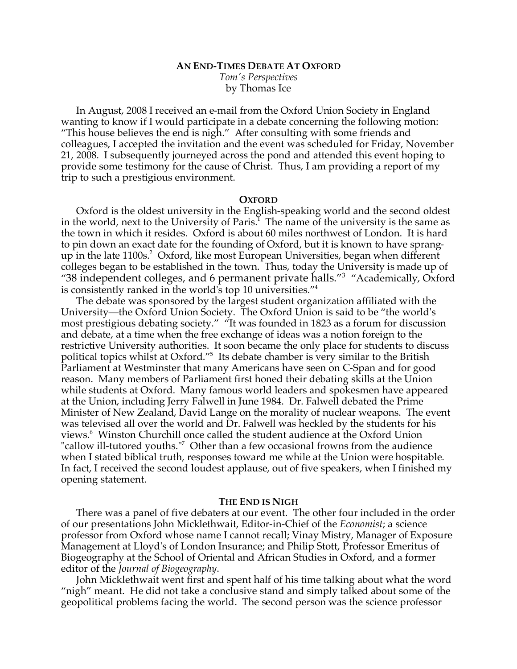# **AN END-TIMES DEBATE AT OXFORD**

*Tom's Perspectives* by Thomas Ice

In August, 2008 I received an e-mail from the Oxford Union Society in England wanting to know if I would participate in a debate concerning the following motion: "This house believes the end is nigh." After consulting with some friends and colleagues, I accepted the invitation and the event was scheduled for Friday, November 21, 2008. I subsequently journeyed across the pond and attended this event hoping to provide some testimony for the cause of Christ. Thus, I am providing a report of my trip to such a prestigious environment.

### **OXFORD**

Oxford is the oldest university in the English-speaking world and the second oldest in the world, next to the University of Paris.<sup>1</sup> The name of the university is the same as the town in which it resides. Oxford is about 60 miles northwest of London. It is hard to pin down an exact date for the founding of Oxford, but it is known to have sprangup in the late 1100s.<sup>2</sup> Oxford, like most European Universities, began when different colleges began to be established in the town. Thus, today the University is made up of "38 independent colleges, and 6 permanent private halls."<sup>3</sup> "Academically, Oxford is consistently ranked in the world's top 10 universities."4

The debate was sponsored by the largest student organization affiliated with the University—the Oxford Union Society. The Oxford Union is said to be "the world's most prestigious debating society." "It was founded in 1823 as a forum for discussion and debate, at a time when the free exchange of ideas was a notion foreign to the restrictive University authorities. It soon became the only place for students to discuss political topics whilst at Oxford."<sup>5</sup> Its debate chamber is very similar to the British Parliament at Westminster that many Americans have seen on C-Span and for good reason. Many members of Parliament first honed their debating skills at the Union while students at Oxford. Many famous world leaders and spokesmen have appeared at the Union, including Jerry Falwell in June 1984. Dr. Falwell debated the Prime Minister of New Zealand, David Lange on the morality of nuclear weapons. The event was televised all over the world and Dr. Falwell was heckled by the students for his views.<sup>6</sup> Winston Churchill once called the student audience at the Oxford Union "callow ill-tutored youths."<sup>7</sup> Other than a few occasional frowns from the audience when I stated biblical truth, responses toward me while at the Union were hospitable. In fact, I received the second loudest applause, out of five speakers, when I finished my opening statement.

# **THE END IS NIGH**

There was a panel of five debaters at our event. The other four included in the order of our presentations John Micklethwait, Editor-in-Chief of the *Economist*; a science professor from Oxford whose name I cannot recall; Vinay Mistry, Manager of Exposure Management at Lloyd's of London Insurance; and Philip Stott, Professor Emeritus of Biogeography at the School of Oriental and African Studies in Oxford, and a former editor of the *Journal of Biogeography*.

John Micklethwait went first and spent half of his time talking about what the word "nigh" meant. He did not take a conclusive stand and simply talked about some of the geopolitical problems facing the world. The second person was the science professor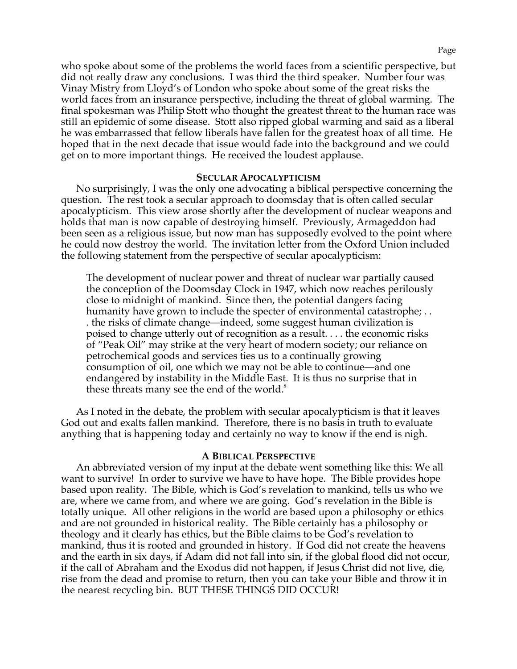who spoke about some of the problems the world faces from a scientific perspective, but did not really draw any conclusions. I was third the third speaker. Number four was Vinay Mistry from Lloyd's of London who spoke about some of the great risks the world faces from an insurance perspective, including the threat of global warming. The final spokesman was Philip Stott who thought the greatest threat to the human race was still an epidemic of some disease. Stott also ripped global warming and said as a liberal he was embarrassed that fellow liberals have fallen for the greatest hoax of all time. He hoped that in the next decade that issue would fade into the background and we could get on to more important things. He received the loudest applause.

# **SECULAR APOCALYPTICISM**

No surprisingly, I was the only one advocating a biblical perspective concerning the question. The rest took a secular approach to doomsday that is often called secular apocalypticism. This view arose shortly after the development of nuclear weapons and holds that man is now capable of destroying himself. Previously, Armageddon had been seen as a religious issue, but now man has supposedly evolved to the point where he could now destroy the world. The invitation letter from the Oxford Union included the following statement from the perspective of secular apocalypticism:

The development of nuclear power and threat of nuclear war partially caused the conception of the Doomsday Clock in 1947, which now reaches perilously close to midnight of mankind. Since then, the potential dangers facing humanity have grown to include the specter of environmental catastrophe; . . . the risks of climate change—indeed, some suggest human civilization is poised to change utterly out of recognition as a result. . . . the economic risks of "Peak Oil" may strike at the very heart of modern society; our reliance on petrochemical goods and services ties us to a continually growing consumption of oil, one which we may not be able to continue—and one endangered by instability in the Middle East. It is thus no surprise that in these threats many see the end of the world. $8$ 

As I noted in the debate, the problem with secular apocalypticism is that it leaves God out and exalts fallen mankind. Therefore, there is no basis in truth to evaluate anything that is happening today and certainly no way to know if the end is nigh.

# **A BIBLICAL PERSPECTIVE**

An abbreviated version of my input at the debate went something like this: We all want to survive! In order to survive we have to have hope. The Bible provides hope based upon reality. The Bible, which is God's revelation to mankind, tells us who we are, where we came from, and where we are going. God's revelation in the Bible is totally unique. All other religions in the world are based upon a philosophy or ethics and are not grounded in historical reality. The Bible certainly has a philosophy or theology and it clearly has ethics, but the Bible claims to be God's revelation to mankind, thus it is rooted and grounded in history. If God did not create the heavens and the earth in six days, if Adam did not fall into sin, if the global flood did not occur, if the call of Abraham and the Exodus did not happen, if Jesus Christ did not live, die, rise from the dead and promise to return, then you can take your Bible and throw it in the nearest recycling bin. BUT THESE THINGS DID OCCUR!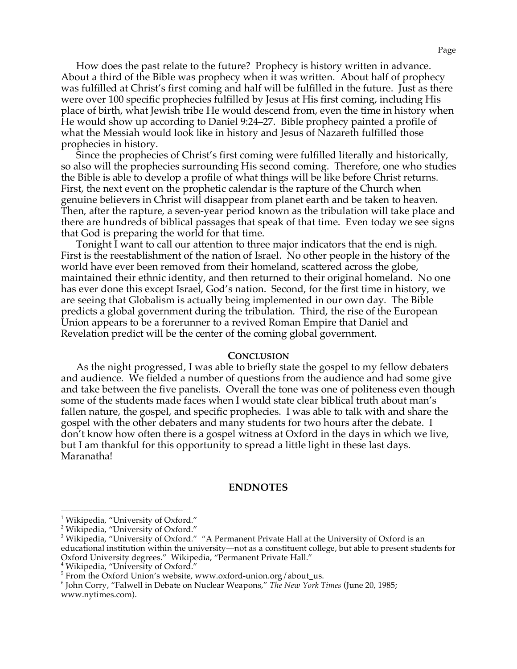How does the past relate to the future? Prophecy is history written in advance. About a third of the Bible was prophecy when it was written. About half of prophecy was fulfilled at Christ's first coming and half will be fulfilled in the future. Just as there were over 100 specific prophecies fulfilled by Jesus at His first coming, including His place of birth, what Jewish tribe He would descend from, even the time in history when He would show up according to Daniel 9:24–27. Bible prophecy painted a profile of what the Messiah would look like in history and Jesus of Nazareth fulfilled those prophecies in history.

Since the prophecies of Christ's first coming were fulfilled literally and historically, so also will the prophecies surrounding His second coming. Therefore, one who studies the Bible is able to develop a profile of what things will be like before Christ returns. First, the next event on the prophetic calendar is the rapture of the Church when genuine believers in Christ will disappear from planet earth and be taken to heaven. Then, after the rapture, a seven-year period known as the tribulation will take place and there are hundreds of biblical passages that speak of that time. Even today we see signs that God is preparing the world for that time.

Tonight I want to call our attention to three major indicators that the end is nigh. First is the reestablishment of the nation of Israel. No other people in the history of the world have ever been removed from their homeland, scattered across the globe, maintained their ethnic identity, and then returned to their original homeland. No one has ever done this except Israel, God's nation. Second, for the first time in history, we are seeing that Globalism is actually being implemented in our own day. The Bible predicts a global government during the tribulation. Third, the rise of the European Union appears to be a forerunner to a revived Roman Empire that Daniel and Revelation predict will be the center of the coming global government.

#### **CONCLUSION**

As the night progressed, I was able to briefly state the gospel to my fellow debaters and audience. We fielded a number of questions from the audience and had some give and take between the five panelists. Overall the tone was one of politeness even though some of the students made faces when I would state clear biblical truth about man's fallen nature, the gospel, and specific prophecies. I was able to talk with and share the gospel with the other debaters and many students for two hours after the debate. I don't know how often there is a gospel witness at Oxford in the days in which we live, but I am thankful for this opportunity to spread a little light in these last days. Maranatha!

# **ENDNOTES**

<sup>&</sup>lt;u>-</u><br><sup>1</sup> Wikipedia, "University of Oxford."

<sup>&</sup>lt;sup>2</sup> Wikipedia, "University of Oxford."

<sup>&</sup>lt;sup>3</sup> Wikipedia, "University of Oxford." "A Permanent Private Hall at the University of Oxford is an educational institution within the university—not as a constituent college, but able to present students for Oxford University degrees." Wikipedia, "Permanent Private Hall."<br><sup>4</sup> Wikipedia, "University of Oxford."

<sup>&</sup>lt;sup>5</sup> From the Oxford Union's website, www.oxford-union.org/about\_us.<br><sup>6</sup> John Corry, "Falwell in Debate on Nuclear Weanons." *The New York* 7

<sup>&</sup>lt;sup>6</sup> John Corry, "Falwell in Debate on Nuclear Weapons," The New York Times (June 20, 1985;

www.nytimes.com).